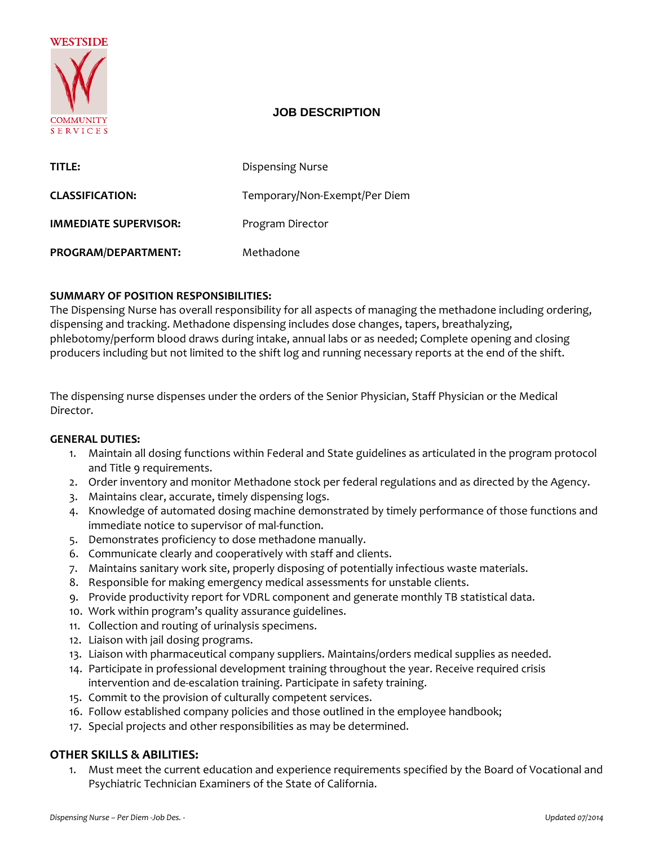

# **JOB DESCRIPTION**

| TITLE:                       | <b>Dispensing Nurse</b>       |
|------------------------------|-------------------------------|
| <b>CLASSIFICATION:</b>       | Temporary/Non-Exempt/Per Diem |
| <b>IMMEDIATE SUPERVISOR:</b> | Program Director              |
| PROGRAM/DEPARTMENT:          | Methadone                     |

## **SUMMARY OF POSITION RESPONSIBILITIES:**

The Dispensing Nurse has overall responsibility for all aspects of managing the methadone including ordering, dispensing and tracking. Methadone dispensing includes dose changes, tapers, breathalyzing, phlebotomy/perform blood draws during intake, annual labs or as needed; Complete opening and closing producers including but not limited to the shift log and running necessary reports at the end of the shift.

The dispensing nurse dispenses under the orders of the Senior Physician, Staff Physician or the Medical Director.

### **GENERAL DUTIES:**

- 1. Maintain all dosing functions within Federal and State guidelines as articulated in the program protocol and Title 9 requirements.
- 2. Order inventory and monitor Methadone stock per federal regulations and as directed by the Agency.
- 3. Maintains clear, accurate, timely dispensing logs.
- 4. Knowledge of automated dosing machine demonstrated by timely performance of those functions and immediate notice to supervisor of mal-function.
- 5. Demonstrates proficiency to dose methadone manually.
- 6. Communicate clearly and cooperatively with staff and clients.
- 7. Maintains sanitary work site, properly disposing of potentially infectious waste materials.
- 8. Responsible for making emergency medical assessments for unstable clients.
- 9. Provide productivity report for VDRL component and generate monthly TB statistical data.
- 10. Work within program's quality assurance guidelines.
- 11. Collection and routing of urinalysis specimens.
- 12. Liaison with jail dosing programs.
- 13. Liaison with pharmaceutical company suppliers. Maintains/orders medical supplies as needed.
- 14. Participate in professional development training throughout the year. Receive required crisis intervention and de-escalation training. Participate in safety training.
- 15. Commit to the provision of culturally competent services.
- 16. Follow established company policies and those outlined in the employee handbook;
- 17. Special projects and other responsibilities as may be determined.

# **OTHER SKILLS & ABILITIES:**

1. Must meet the current education and experience requirements specified by the Board of Vocational and Psychiatric Technician Examiners of the State of California.